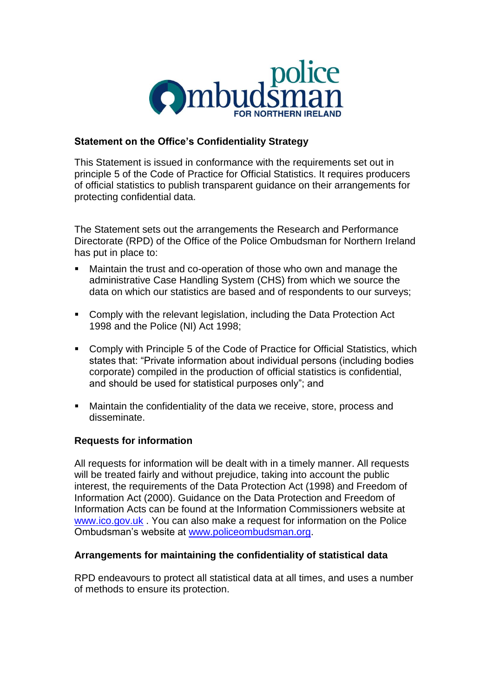

# **Statement on the Office's Confidentiality Strategy**

This Statement is issued in conformance with the requirements set out in principle 5 of the Code of Practice for Official Statistics. It requires producers of official statistics to publish transparent guidance on their arrangements for protecting confidential data.

The Statement sets out the arrangements the Research and Performance Directorate (RPD) of the Office of the Police Ombudsman for Northern Ireland has put in place to:

- Maintain the trust and co-operation of those who own and manage the administrative Case Handling System (CHS) from which we source the data on which our statistics are based and of respondents to our surveys;
- Comply with the relevant legislation, including the Data Protection Act 1998 and the Police (NI) Act 1998;
- Comply with Principle 5 of the Code of Practice for Official Statistics, which states that: "Private information about individual persons (including bodies corporate) compiled in the production of official statistics is confidential, and should be used for statistical purposes only"; and
- Maintain the confidentiality of the data we receive, store, process and disseminate.

#### **Requests for information**

All requests for information will be dealt with in a timely manner. All requests will be treated fairly and without prejudice, taking into account the public interest, the requirements of the Data Protection Act (1998) and Freedom of Information Act (2000). Guidance on the Data Protection and Freedom of Information Acts can be found at the Information Commissioners website at [www.ico.gov.uk](http://www.ico.gov.uk/) . You can also make a request for information on the Police Ombudsman's website at [www.policeombudsman.org.](http://www.policeombudsman.org/)

#### **Arrangements for maintaining the confidentiality of statistical data**

RPD endeavours to protect all statistical data at all times, and uses a number of methods to ensure its protection.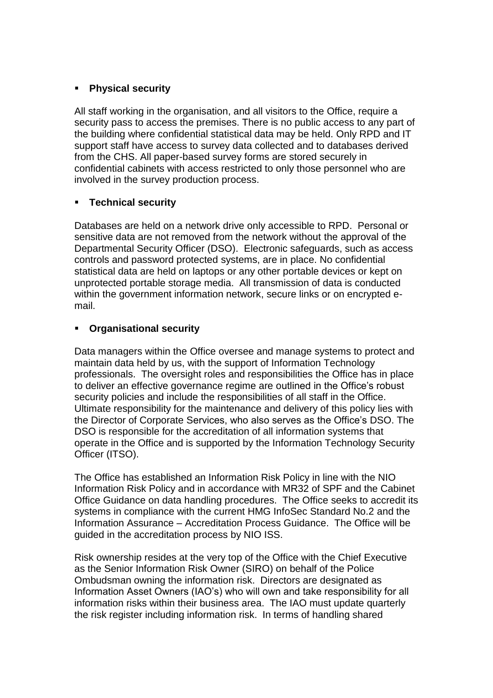# **Physical security**

All staff working in the organisation, and all visitors to the Office, require a security pass to access the premises. There is no public access to any part of the building where confidential statistical data may be held. Only RPD and IT support staff have access to survey data collected and to databases derived from the CHS. All paper-based survey forms are stored securely in confidential cabinets with access restricted to only those personnel who are involved in the survey production process.

# **Technical security**

Databases are held on a network drive only accessible to RPD. Personal or sensitive data are not removed from the network without the approval of the Departmental Security Officer (DSO). Electronic safeguards, such as access controls and password protected systems, are in place. No confidential statistical data are held on laptops or any other portable devices or kept on unprotected portable storage media. All transmission of data is conducted within the government information network, secure links or on encrypted email.

# **Organisational security**

Data managers within the Office oversee and manage systems to protect and maintain data held by us, with the support of Information Technology professionals. The oversight roles and responsibilities the Office has in place to deliver an effective governance regime are outlined in the Office's robust security policies and include the responsibilities of all staff in the Office. Ultimate responsibility for the maintenance and delivery of this policy lies with the Director of Corporate Services, who also serves as the Office's DSO. The DSO is responsible for the accreditation of all information systems that operate in the Office and is supported by the Information Technology Security Officer (ITSO).

The Office has established an Information Risk Policy in line with the NIO Information Risk Policy and in accordance with MR32 of SPF and the Cabinet Office Guidance on data handling procedures. The Office seeks to accredit its systems in compliance with the current HMG InfoSec Standard No.2 and the Information Assurance – Accreditation Process Guidance. The Office will be guided in the accreditation process by NIO ISS.

Risk ownership resides at the very top of the Office with the Chief Executive as the Senior Information Risk Owner (SIRO) on behalf of the Police Ombudsman owning the information risk. Directors are designated as Information Asset Owners (IAO's) who will own and take responsibility for all information risks within their business area. The IAO must update quarterly the risk register including information risk. In terms of handling shared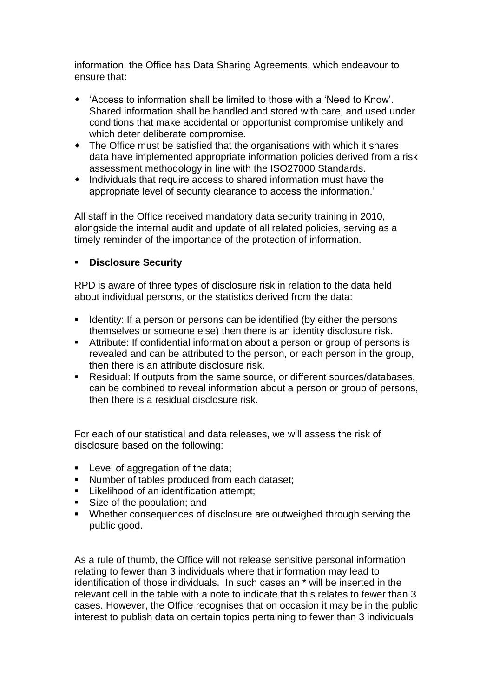information, the Office has Data Sharing Agreements, which endeavour to ensure that:

- 'Access to information shall be limited to those with a 'Need to Know'. Shared information shall be handled and stored with care, and used under conditions that make accidental or opportunist compromise unlikely and which deter deliberate compromise.
- The Office must be satisfied that the organisations with which it shares data have implemented appropriate information policies derived from a risk assessment methodology in line with the ISO27000 Standards.
- Individuals that require access to shared information must have the appropriate level of security clearance to access the information.'

All staff in the Office received mandatory data security training in 2010, alongside the internal audit and update of all related policies, serving as a timely reminder of the importance of the protection of information.

# **Disclosure Security**

RPD is aware of three types of disclosure risk in relation to the data held about individual persons, or the statistics derived from the data:

- **If a 2** Identity: If a person or persons can be identified (by either the persons themselves or someone else) then there is an identity disclosure risk.
- Attribute: If confidential information about a person or group of persons is revealed and can be attributed to the person, or each person in the group, then there is an attribute disclosure risk.
- Residual: If outputs from the same source, or different sources/databases, can be combined to reveal information about a person or group of persons, then there is a residual disclosure risk.

For each of our statistical and data releases, we will assess the risk of disclosure based on the following:

- **Level of aggregation of the data;**
- Number of tables produced from each dataset;
- **Likelihood of an identification attempt;**
- Size of the population; and
- Whether consequences of disclosure are outweighed through serving the public good.

As a rule of thumb, the Office will not release sensitive personal information relating to fewer than 3 individuals where that information may lead to identification of those individuals. In such cases an \* will be inserted in the relevant cell in the table with a note to indicate that this relates to fewer than 3 cases. However, the Office recognises that on occasion it may be in the public interest to publish data on certain topics pertaining to fewer than 3 individuals